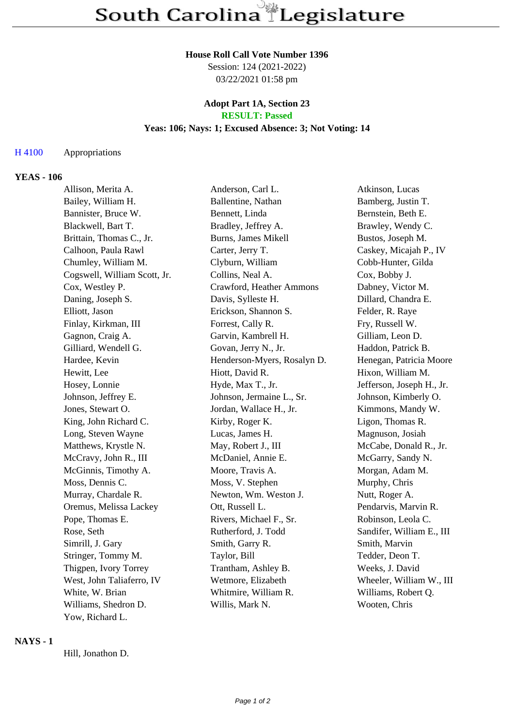## **House Roll Call Vote Number 1396**

Session: 124 (2021-2022) 03/22/2021 01:58 pm

#### **Adopt Part 1A, Section 23 RESULT: Passed**

## **Yeas: 106; Nays: 1; Excused Absence: 3; Not Voting: 14**

# H 4100 Appropriations

#### **YEAS - 106**

| Allison, Merita A.           | Anderson, Carl L.           | Atkinson, Lucas           |
|------------------------------|-----------------------------|---------------------------|
| Bailey, William H.           | Ballentine, Nathan          | Bamberg, Justin T.        |
| Bannister, Bruce W.          | Bennett, Linda              | Bernstein, Beth E.        |
| Blackwell, Bart T.           | Bradley, Jeffrey A.         | Brawley, Wendy C.         |
| Brittain, Thomas C., Jr.     | Burns, James Mikell         | Bustos, Joseph M.         |
| Calhoon, Paula Rawl          | Carter, Jerry T.            | Caskey, Micajah P., IV    |
| Chumley, William M.          | Clyburn, William            | Cobb-Hunter, Gilda        |
| Cogswell, William Scott, Jr. | Collins, Neal A.            | Cox, Bobby J.             |
| Cox, Westley P.              | Crawford, Heather Ammons    | Dabney, Victor M.         |
| Daning, Joseph S.            | Davis, Sylleste H.          | Dillard, Chandra E.       |
| Elliott, Jason               | Erickson, Shannon S.        | Felder, R. Raye           |
| Finlay, Kirkman, III         | Forrest, Cally R.           | Fry, Russell W.           |
| Gagnon, Craig A.             | Garvin, Kambrell H.         | Gilliam, Leon D.          |
| Gilliard, Wendell G.         | Govan, Jerry N., Jr.        | Haddon, Patrick B.        |
| Hardee, Kevin                | Henderson-Myers, Rosalyn D. | Henegan, Patricia Moore   |
| Hewitt, Lee                  | Hiott, David R.             | Hixon, William M.         |
| Hosey, Lonnie                | Hyde, Max T., Jr.           | Jefferson, Joseph H., Jr. |
| Johnson, Jeffrey E.          | Johnson, Jermaine L., Sr.   | Johnson, Kimberly O.      |
| Jones, Stewart O.            | Jordan, Wallace H., Jr.     | Kimmons, Mandy W.         |
| King, John Richard C.        | Kirby, Roger K.             | Ligon, Thomas R.          |
| Long, Steven Wayne           | Lucas, James H.             | Magnuson, Josiah          |
| Matthews, Krystle N.         | May, Robert J., III         | McCabe, Donald R., Jr.    |
| McCravy, John R., III        | McDaniel, Annie E.          | McGarry, Sandy N.         |
| McGinnis, Timothy A.         | Moore, Travis A.            | Morgan, Adam M.           |
| Moss, Dennis C.              | Moss, V. Stephen            | Murphy, Chris             |
| Murray, Chardale R.          | Newton, Wm. Weston J.       | Nutt, Roger A.            |
| Oremus, Melissa Lackey       | Ott, Russell L.             | Pendarvis, Marvin R.      |
| Pope, Thomas E.              | Rivers, Michael F., Sr.     | Robinson, Leola C.        |
| Rose, Seth                   | Rutherford, J. Todd         | Sandifer, William E., III |
| Simrill, J. Gary             | Smith, Garry R.             | Smith, Marvin             |
| Stringer, Tommy M.           | Taylor, Bill                | Tedder, Deon T.           |
| Thigpen, Ivory Torrey        | Trantham, Ashley B.         | Weeks, J. David           |
| West, John Taliaferro, IV    | Wetmore, Elizabeth          | Wheeler, William W., III  |
| White, W. Brian              | Whitmire, William R.        | Williams, Robert Q.       |
| Williams, Shedron D.         | Willis, Mark N.             | Wooten, Chris             |
| Yow, Richard L.              |                             |                           |
|                              |                             |                           |

## **NAYS - 1**

Hill, Jonathon D.